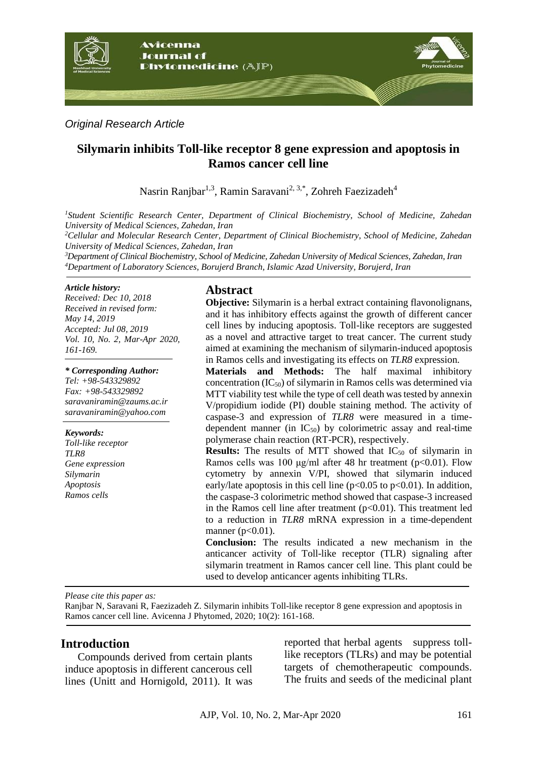

#### *Original Research Article*

# **Silymarin inhibits Toll-like receptor 8 gene expression and apoptosis in Ramos cancer cell line**

Nasrin Ranjbar<sup>1,3</sup>, Ramin Saravani<sup>2, 3,\*</sup>, Zohreh Faezizadeh<sup>4</sup>

*<sup>1</sup>Student Scientific Research Center, Department of Clinical Biochemistry, School of Medicine, Zahedan University of Medical Sciences, Zahedan, Iran* 

*<sup>2</sup>Cellular and Molecular Research Center, Department of Clinical Biochemistry, School of Medicine, Zahedan University of Medical Sciences, Zahedan, Iran*

*<sup>3</sup>Department of Clinical Biochemistry, School of Medicine, Zahedan University of Medical Sciences, Zahedan, Iran <sup>4</sup>Department of Laboratory Sciences, Borujerd Branch, Islamic Azad University, Borujerd, Iran*

#### *Article history:*

*Received: Dec 10, 2018 Received in revised form: May 14, 2019 Accepted: Jul 08, 2019 Vol. 10, No. 2, Mar-Apr 2020, 161-169.*

#### *\* Corresponding Author:*

*Tel: +98-543329892 Fax: +98-543329892 saravaniramin@zaums.ac.ir saravaniramin@yahoo.com*

#### *Keywords:*

*Toll-like receptor TLR8 Gene expression Silymarin Apoptosis Ramos cells*

#### **Abstract**

**Objective:** Silymarin is a herbal extract containing flavonolignans, and it has inhibitory effects against the growth of different cancer cell lines by inducing apoptosis. Toll-like receptors are suggested as a novel and attractive target to treat cancer. The current study aimed at examining the mechanism of silymarin-induced apoptosis in Ramos cells and investigating its effects on *TLR8* expression.

**Materials and Methods:** The half maximal inhibitory concentration  $(IC_{50})$  of silymarin in Ramos cells was determined via MTT viability test while the type of cell death was tested by annexin V/propidium iodide (PI) double staining method. The activity of caspase-3 and expression of *TLR8* were measured in a timedependent manner (in  $IC_{50}$ ) by colorimetric assay and real-time polymerase chain reaction (RT-PCR), respectively.

**Results:** The results of MTT showed that IC<sub>50</sub> of silymarin in Ramos cells was 100 μg/ml after 48 hr treatment ( $p<0.01$ ). Flow cytometry by annexin V/PI, showed that silymarin induced early/late apoptosis in this cell line ( $p<0.05$  to  $p<0.01$ ). In addition, the caspase-3 colorimetric method showed that caspase-3 increased in the Ramos cell line after treatment  $(p<0.01)$ . This treatment led to a reduction in *TLR8* mRNA expression in a time-dependent manner ( $p<0.01$ ).

**Conclusion:** The results indicated a new mechanism in the anticancer activity of Toll-like receptor (TLR) signaling after silymarin treatment in Ramos cancer cell line. This plant could be used to develop anticancer agents inhibiting TLRs.

*Please cite this paper as:* 

Ranjbar N, Saravani R, Faezizadeh Z. Silymarin inhibits Toll-like receptor 8 gene expression and apoptosis in Ramos cancer cell line. Avicenna J Phytomed, 2020; 10(2): 161-168.

### **Introduction**

Compounds derived from certain plants induce apoptosis in different cancerous cell lines [\(Unitt and Hornigold, 2011\)](#page-8-0). It was reported that herbal agents suppress tolllike receptors (TLRs) and may be potential targets of chemotherapeutic compounds. The fruits and seeds of the medicinal plant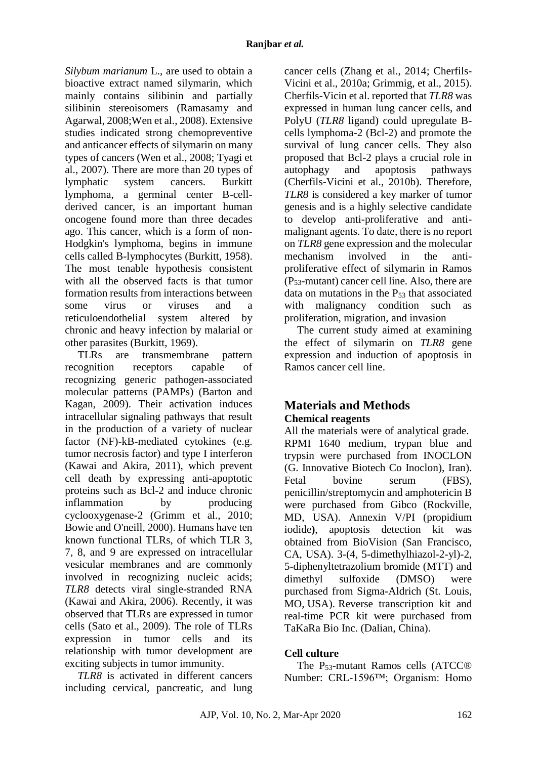*Silybum marianum* L., are used to obtain a bioactive extract named silymarin, which mainly contains silibinin and partially silibinin stereoisomers [\(Ramasamy and](#page-7-0)  [Agarwal, 2008;](#page-7-0)[Wen et al., 2008\)](#page-8-1). Extensive studies indicated strong chemopreventive and anticancer effects of silymarin on many types of cancers [\(Wen et al., 2008;](#page-8-1) [Tyagi et](#page-8-2)  [al., 2007\)](#page-8-2). There are more than 20 types of lymphatic system cancers. Burkitt lymphoma, a germinal center B-cellderived cancer, is an important human oncogene found more than three decades ago. This cancer, which is a form of non-Hodgkin's lymphoma, begins in immune cells called B-lymphocytes [\(Burkitt, 1958\)](#page-6-0). The most tenable hypothesis consistent with all the observed facts is that tumor formation results from interactions between some virus or viruses and a reticuloendothelial system altered by chronic and heavy infection by malarial or other parasites [\(Burkitt, 1969\)](#page-6-1).

TLRs are transmembrane pattern recognition receptors capable of recognizing generic pathogen-associated molecular patterns (PAMPs) [\(Barton and](#page-6-2)  [Kagan, 2009\)](#page-6-2). Their activation induces intracellular signaling pathways that result in the production of a variety of nuclear factor (NF)-kB-mediated cytokines (e.g. tumor necrosis factor) and type I interferon [\(Kawai and Akira, 2011\)](#page-7-1), which prevent cell death by expressing anti-apoptotic proteins such as Bcl-2 and induce chronic inflammation by producing cyclooxygenase-2 [\(Grimm et al., 2010;](#page-7-2) [Bowie and O'neill, 2000\)](#page-6-3). Humans have ten known functional TLRs, of which TLR 3, 7, 8, and 9 are expressed on intracellular vesicular membranes and are commonly involved in recognizing nucleic acids; *TLR8* detects viral single-stranded RNA [\(Kawai and Akira, 2006\)](#page-7-3). Recently, it was observed that TLRs are expressed in tumor cells [\(Sato et al., 2009\)](#page-7-4). The role of TLRs expression in tumor cells and its relationship with tumor development are exciting subjects in tumor immunity.

*TLR8* is activated in different cancers including cervical, pancreatic, and lung cancer cells [\(Zhang et al., 2014;](#page-8-3) [Cherfils-](#page-6-4)[Vicini et al., 2010a;](#page-6-4) [Grimmig, et al., 2015\)](#page-7-5). Cherfils-Vicin et al. reported that *TLR8* was expressed in human lung cancer cells, and PolyU (*TLR8* ligand) could upregulate Bcells lymphoma-2 (Bcl-2) and promote the survival of lung cancer cells. They also proposed that Bcl-2 plays a crucial role in autophagy and apoptosis pathways [\(Cherfils-Vicini et al., 2010b\)](#page-6-5). Therefore, *TLR8* is considered a key marker of tumor genesis and is a highly selective candidate to develop anti-proliferative and antimalignant agents. To date, there is no report on *TLR8* gene expression and the molecular mechanism involved in the antiproliferative effect of silymarin in Ramos (P53-mutant) cancer cell line. Also, there are data on mutations in the  $P_{53}$  that associated with malignancy condition such as proliferation, migration, and invasion

The current study aimed at examining the effect of silymarin on *TLR8* gene expression and induction of apoptosis in Ramos cancer cell line.

# **Materials and Methods**

### **Chemical reagents**

All the materials were of analytical grade. RPMI 1640 medium, trypan blue and trypsin were purchased from INOCLON (G. Innovative Biotech Co Inoclon), Iran). Fetal bovine serum (FBS). penicillin/streptomycin and amphotericin B were purchased from Gibco (Rockville, MD, USA). Annexin V/PI (propidium iodide), apoptosis detection kit was obtained from BioVision (San Francisco, CA, USA). 3-(4, 5-dimethylhiazol-2-yl)-2, 5-diphenyltetrazolium bromide (MTT) and dimethyl sulfoxide (DMSO) were purchased from Sigma-Aldrich (St. Louis, MO, USA). Reverse transcription kit and real-time PCR kit were purchased from TaKaRa Bio Inc. (Dalian, China).

### **Cell culture**

The P53-mutant Ramos cells (ATCC® Number: CRL-1596™; Organism: Homo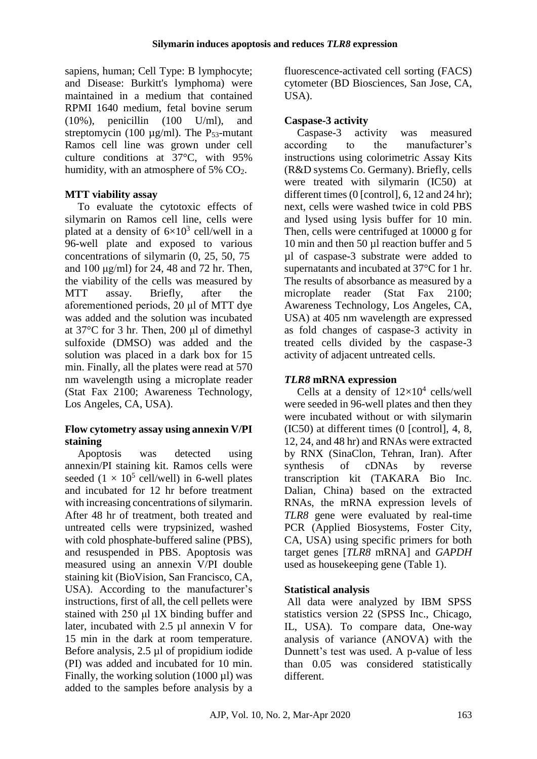sapiens, human; Cell Type: B lymphocyte; and Disease: Burkitt's lymphoma) were maintained in a medium that contained RPMI 1640 medium, fetal bovine serum (10%), penicillin (100 U/ml), and streptomycin (100  $\mu$ g/ml). The P<sub>53</sub>-mutant Ramos cell line was grown under cell culture conditions at 37°C, with 95% humidity, with an atmosphere of 5% CO<sub>2</sub>.

# **MTT viability assay**

To evaluate the cytotoxic effects of silymarin on Ramos cell line, cells were plated at a density of  $6\times10^3$  cell/well in a 96-well plate and exposed to various concentrations of silymarin (0, 25, 50, 75 and 100 μg/ml) for 24, 48 and 72 hr. Then, the viability of the cells was measured by MTT assay. Briefly, after the aforementioned periods, 20 μl of MTT dye was added and the solution was incubated at 37°C for 3 hr. Then, 200 μl of dimethyl sulfoxide (DMSO) was added and the solution was placed in a dark box for 15 min. Finally, all the plates were read at 570 nm wavelength using a microplate reader (Stat Fax 2100; Awareness Technology, Los Angeles, CA, USA).

### **Flow cytometry assay using annexin V/PI staining**

Apoptosis was detected using annexin/PI staining kit. Ramos cells were seeded  $(1 \times 10^5 \text{ cell/well})$  in 6-well plates and incubated for 12 hr before treatment with increasing concentrations of silymarin. After 48 hr of treatment, both treated and untreated cells were trypsinized, washed with cold phosphate-buffered saline (PBS), and resuspended in PBS. Apoptosis was measured using an annexin V/PI double staining kit (BioVision, San Francisco, CA, USA). According to the manufacturer's instructions, first of all, the cell pellets were stained with 250 μl 1X binding buffer and later, incubated with 2.5 µl annexin V for 15 min in the dark at room temperature. Before analysis, 2.5 µl of propidium iodide (PI) was added and incubated for 10 min. Finally, the working solution (1000 µl) was added to the samples before analysis by a

fluorescence-activated cell sorting (FACS) cytometer (BD Biosciences, San Jose, CA, USA).

# **Caspase-3 activity**

Caspase-3 activity was measured according to the manufacturer's instructions using colorimetric Assay Kits (R&D systems Co. Germany). Briefly, cells were treated with silymarin (IC50) at different times (0 [control], 6, 12 and 24 hr); next, cells were washed twice in cold PBS and lysed using lysis buffer for 10 min. Then, cells were centrifuged at 10000 g for 10 min and then 50 µl reaction buffer and 5 µl of caspase-3 substrate were added to supernatants and incubated at 37°C for 1 hr. The results of absorbance as measured by a microplate reader (Stat Fax 2100; Awareness Technology, Los Angeles, CA, USA) at 405 nm wavelength are expressed as fold changes of caspase-3 activity in treated cells divided by the caspase-3 activity of adjacent untreated cells.

# *TLR8* **mRNA expression**

Cells at a density of  $12\times10^4$  cells/well were seeded in 96-well plates and then they were incubated without or with silymarin (IC50) at different times (0 [control], 4, 8, 12, 24, and 48 hr) and RNAs were extracted by RNX (SinaClon, Tehran, Iran). After synthesis of cDNAs by reverse transcription kit (TAKARA Bio Inc. Dalian, China) based on the extracted RNAs, the mRNA expression levels of *TLR8* gene were evaluated by real-time PCR (Applied Biosystems, Foster City, CA, USA) using specific primers for both target genes [*TLR8* mRNA] and *GAPDH* used as housekeeping gene (Table 1).

# **Statistical analysis**

All data were analyzed by IBM SPSS statistics version 22 (SPSS Inc., Chicago, IL, USA). To compare data, One-way analysis of variance (ANOVA) with the Dunnett's test was used. A p-value of less than 0.05 was considered statistically different.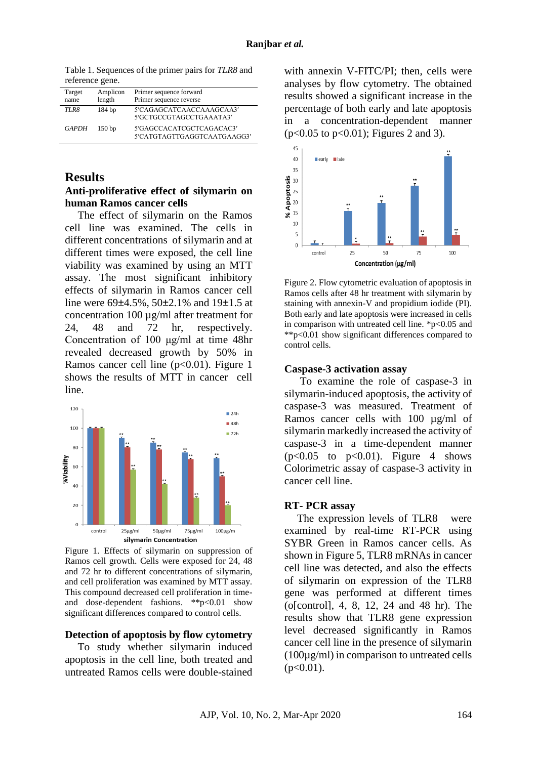Table 1. Sequences of the primer pairs for *TLR8* and reference gene.

| Target<br>name | Amplicon<br>length | Primer sequence forward<br>Primer sequence reverse      |
|----------------|--------------------|---------------------------------------------------------|
| TLR8           | 184 bp             | 5'CAGAGCATCAACCAAAGCAA3'<br>5'GCTGCCGTAGCCTGAAATA3'     |
| GAPDH          | 150 <sub>bp</sub>  | 5'GAGCCACATCGCTCAGACAC3'<br>5'CATGTAGTTGAGGTCAATGAAGG3' |

#### **Results**

#### **Anti-proliferative effect of silymarin on human Ramos cancer cells**

The effect of silymarin on the Ramos cell line was examined. The cells in different concentrations of silymarin and at different times were exposed, the cell line viability was examined by using an MTT assay. The most significant inhibitory effects of silymarin in Ramos cancer cell line were 69±4.5%, 50±2.1% and 19±1.5 at concentration 100 µg/ml after treatment for 24, 48 and 72 hr, respectively. Concentration of 100 μg/ml at time 48hr revealed decreased growth by 50% in Ramos cancer cell line  $(p<0.01)$ . Figure 1 shows the results of MTT in cancer cell line.



Figure 1. Effects of silymarin on suppression of Ramos cell growth. Cells were exposed for 24, 48 and 72 hr to different concentrations of silymarin, and cell proliferation was examined by MTT assay. This compound decreased cell proliferation in timeand dose-dependent fashions. \*\*p<0.01 show significant differences compared to control cells.

#### **Detection of apoptosis by flow cytometry**

To study whether silymarin induced apoptosis in the cell line, both treated and untreated Ramos cells were double-stained

with annexin V-FITC/PI; then, cells were analyses by flow cytometry. The obtained results showed a significant increase in the percentage of both early and late apoptosis in a concentration-dependent manner (p<0.05 to p<0.01); Figures 2 and 3).



Figure 2. Flow cytometric evaluation of apoptosis in Ramos cells after 48 hr treatment with silymarin by staining with annexin-V and propidium iodide (PI). Both early and late apoptosis were increased in cells in comparison with untreated cell line.  $\text{*p}<0.05$  and \*\*p<0.01 show significant differences compared to control cells.

#### **Caspase-3 activation assay**

To examine the role of caspase-3 in silymarin*-*induced apoptosis, the activity of caspase-3 was measured. Treatment of Ramos cancer cells with 100 µg/ml of silymarin markedly increased the activity of caspase-3 in a time-dependent manner  $(p<0.05$  to  $p<0.01$ ). Figure 4 shows Colorimetric assay of caspase-3 activity in cancer cell line.

#### **RT- PCR assay**

The expression levels of TLR8 were examined by real-time RT-PCR using SYBR Green in Ramos cancer cells. As shown in Figure 5, TLR8 mRNAs in cancer cell line was detected, and also the effects of silymarin on expression of the TLR8 gene was performed at different times (o[control], 4, 8, 12, 24 and 48 hr). The results show that TLR8 gene expression level decreased significantly in Ramos cancer cell line in the presence of silymarin (100µg/ml) in comparison to untreated cells  $(p<0.01)$ .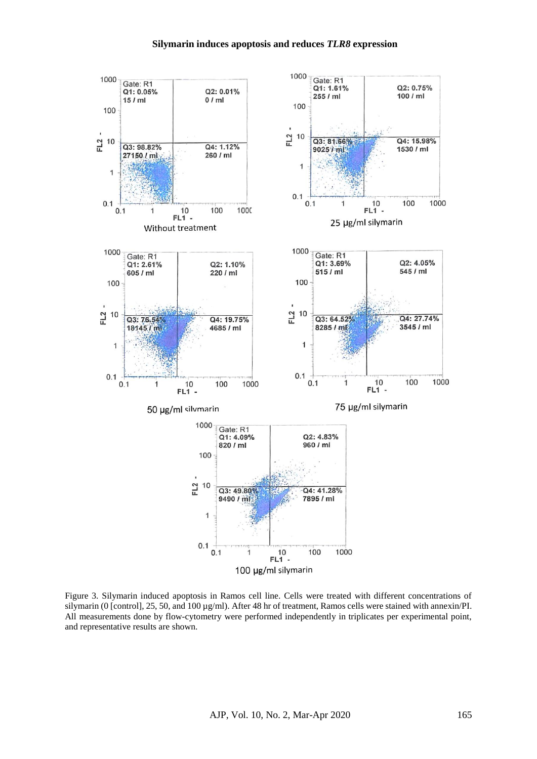#### **Silymarin induces apoptosis and reduces** *TLR8* **expression**



Figure 3. Silymarin induced apoptosis in Ramos cell line. Cells were treated with different concentrations of silymarin (0 [control], 25, 50, and 100 µg/ml). After 48 hr of treatment, Ramos cells were stained with annexin/PI. All measurements done by flow-cytometry were performed independently in triplicates per experimental point, and representative results are shown.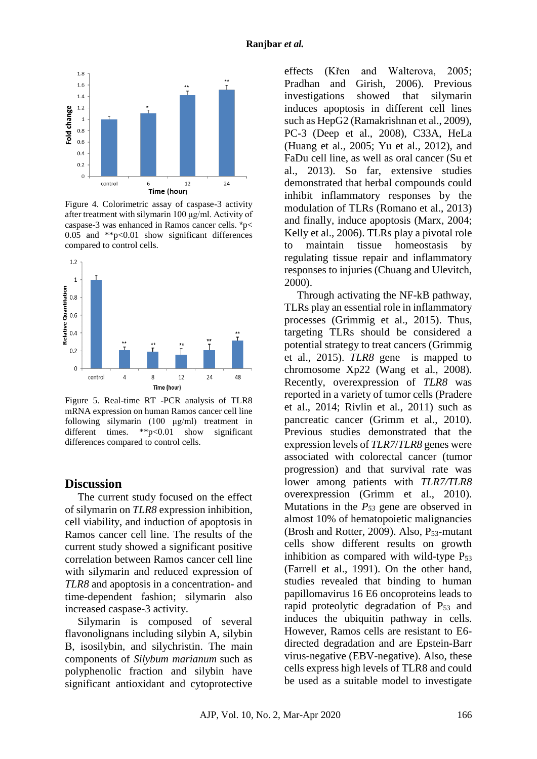

Figure 4. Colorimetric assay of caspase-3 activity after treatment with silymarin 100 μg/ml. Activity of caspase-3 was enhanced in Ramos cancer cells. \*p< 0.05 and  $*p<0.01$  show significant differences compared to control cells.



Figure 5. Real-time RT -PCR analysis of TLR8 mRNA expression on human Ramos cancer cell line following silymarin (100 μg/ml) treatment in different times. \*\*p<0.01 show significant differences compared to control cells.

#### **Discussion**

The current study focused on the effect of silymarin on *TLR8* expression inhibition, cell viability, and induction of apoptosis in Ramos cancer cell line. The results of the current study showed a significant positive correlation between Ramos cancer cell line with silymarin and reduced expression of *TLR8* and apoptosis in a concentration- and time-dependent fashion; silymarin also increased caspase-3 activity.

Silymarin is composed of several flavonolignans including silybin A, silybin B, isosilybin, and silychristin. The main components of *Silybum marianum* such as polyphenolic fraction and silybin have significant antioxidant and cytoprotective effects [\(Křen and Walterova, 2005;](#page-7-6) [Pradhan and Girish, 2006\)](#page-7-7). Previous investigations showed that silymarin induces apoptosis in different cell lines such as HepG2 [\(Ramakrishnan et al., 2009\)](#page-7-8), PC-3 [\(Deep et al., 2008\)](#page-7-9), C33A, HeLa [\(Huang et al., 2005;](#page-7-10) [Yu et al., 2012\)](#page-8-4), and FaDu cell line, as well as oral cancer [\(Su et](#page-7-11)  [al., 2013\)](#page-7-11). So far, extensive studies demonstrated that herbal compounds could inhibit inflammatory responses by the modulation of TLRs [\(Romano et al., 2013\)](#page-7-12) and finally, induce apoptosis [\(Marx, 2004;](#page-7-13) [Kelly et al., 2006\)](#page-7-14). TLRs play a pivotal role to maintain tissue homeostasis by regulating tissue repair and inflammatory responses to injuries [\(Chuang and Ulevitch,](#page-7-15)  [2000\)](#page-7-15).

Through activating the NF-kB pathway, TLRs play an essential role in inflammatory processes [\(Grimmig et al., 2015\)](#page-7-5). Thus, targeting TLRs should be considered a potential strategy to treat cancers [\(Grimmig](#page-7-5)  [et al., 2015\)](#page-7-5). *TLR8* gene is mapped to chromosome Xp22 [\(Wang et al., 2008\)](#page-8-5). Recently, overexpression of *TLR8* was reported in a variety of tumor cells [\(Pradere](#page-7-16)  [et al., 2014;](#page-7-16) [Rivlin et al., 2011\)](#page-7-17) such as pancreatic cancer [\(Grimm et al., 2010\)](#page-7-2). Previous studies demonstrated that the expression levels of *TLR7*/*TLR8* genes were associated with colorectal cancer (tumor progression) and that survival rate was lower among patients with *TLR7/TLR8*  overexpression [\(Grimm et al., 2010\)](#page-7-2). Mutations in the *P<sup>53</sup>* gene are observed in almost 10% of hematopoietic malignancies [\(Brosh and Rotter, 2009\)](#page-6-6). Also,  $P_{53}$ -mutant cells show different results on growth inhibition as compared with wild-type  $P_{53}$ [\(Farrell et al., 1991\)](#page-7-18). On the other hand, studies revealed that binding to human papillomavirus 16 E6 oncoproteins leads to rapid proteolytic degradation of  $P_{53}$  and induces the ubiquitin pathway in cells. However, Ramos cells are resistant to E6 directed degradation and are Epstein-Barr virus-negative (EBV-negative). Also, these cells express high levels of TLR8 and could be used as a suitable model to investigate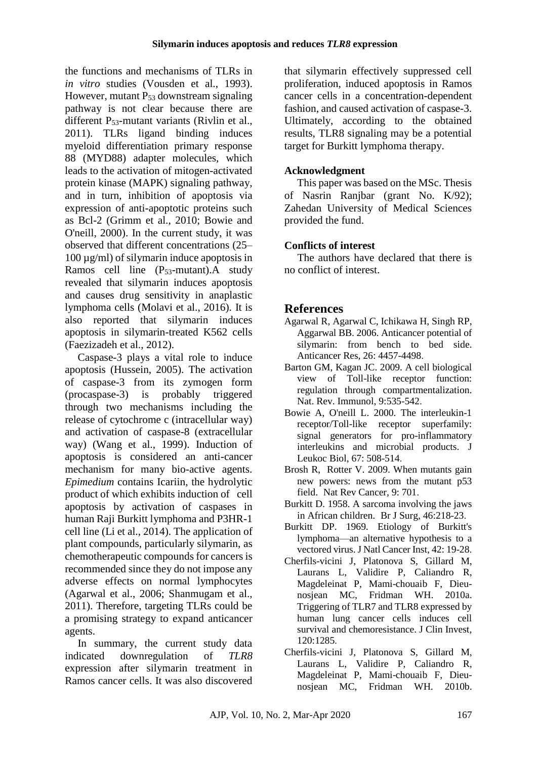the functions and mechanisms of TLRs in *in vitro* studies [\(Vousden et al., 1993\)](#page-8-6). However, mutant P<sup>53</sup> downstream signaling pathway is not clear because there are different P53-mutant variants [\(Rivlin et al.,](#page-7-17)  [2011\)](#page-7-17). TLRs ligand binding induces myeloid differentiation primary response 88 (MYD88) adapter molecules, which leads to the activation of mitogen-activated protein kinase (MAPK) signaling pathway, and in turn, inhibition of apoptosis via expression of anti-apoptotic proteins such as Bcl-2 [\(Grimm et al., 2010;](#page-7-2) [Bowie and](#page-6-3)  [O'neill, 2000\)](#page-6-3). In the current study, it was observed that different concentrations (25– 100 µg/ml) of silymarin induce apoptosis in Ramos cell line (P53-mutant).A study revealed that silymarin induces apoptosis and causes drug sensitivity in anaplastic lymphoma cells [\(Molavi et al., 2016\)](#page-7-19). It is also reported that silymarin induces apoptosis in silymarin-treated K562 cells [\(Faezizadeh et al., 2012\)](#page-7-20).

Caspase-3 plays a vital role to induce apoptosis [\(Hussein, 2005\)](#page-7-21). The activation of caspase-3 from its zymogen form (procaspase-3) is probably triggered through two mechanisms including the release of cytochrome c (intracellular way) and activation of caspase-8 (extracellular way) [\(Wang et al., 1999\)](#page-8-7). Induction of apoptosis is considered an anti-cancer mechanism for many bio-active agents. *Epimedium* contains Icariin, the hydrolytic product of which exhibits induction of cell apoptosis by activation of caspases in human Raji Burkitt lymphoma and P3HR-1 cell line [\(Li et al., 2014\)](#page-7-22). The application of plant compounds, particularly silymarin, as chemotherapeutic compounds for cancers is recommended since they do not impose any adverse effects on normal lymphocytes [\(Agarwal et al., 2006;](#page-6-7) [Shanmugam et al.,](#page-7-23)  [2011\)](#page-7-23). Therefore, targeting TLRs could be a promising strategy to expand anticancer agents.

In summary, the current study data indicated downregulation of *TLR8*  expression after silymarin treatment in Ramos cancer cells. It was also discovered

that silymarin effectively suppressed cell proliferation, induced apoptosis in Ramos cancer cells in a concentration-dependent fashion, and caused activation of caspase-3. Ultimately, according to the obtained results, TLR8 signaling may be a potential target for Burkitt lymphoma therapy.

### **Acknowledgment**

This paper was based on the MSc. Thesis of Nasrin Ranjbar (grant No. K/92); Zahedan University of Medical Sciences provided the fund.

### **Conflicts of interest**

The authors have declared that there is no conflict of interest.

# **References**

- <span id="page-6-7"></span>Agarwal R, Agarwal C, Ichikawa H, Singh RP, Aggarwal BB. 2006. Anticancer potential of silymarin: from bench to bed side. Anticancer Res*,* 26: 4457-4498.
- <span id="page-6-2"></span>Barton GM, Kagan JC. 2009. A cell biological view of Toll-like receptor function: regulation through compartmentalization. Nat. Rev. Immunol, 9:535-542.
- <span id="page-6-3"></span>Bowie A, O'neill L. 2000. The interleukin-1 receptor/Toll-like receptor superfamily: signal generators for pro-inflammatory interleukins and microbial products. J Leukoc Biol, 67: 508-514.
- <span id="page-6-6"></span>Brosh R, Rotter V. 2009. When mutants gain new powers: news from the mutant p53 field. Nat Rev Cancer*,* 9: 701.
- <span id="page-6-0"></span>Burkitt D. 1958. A sarcoma involving the jaws in African children. Br J Surg*,* 46:218-23.
- <span id="page-6-1"></span>Burkitt DP. 1969. Etiology of Burkitt's lymphoma—an alternative hypothesis to a vectored virus[. J Natl Cancer Inst,](https://www.ncbi.nlm.nih.gov/pubmed/?term=Etiology+of+Burkitt%27s+lymphoma%E2%80%94an+alternative+hypothesis+to+a+vectored+virus) 42: 19-28.
- <span id="page-6-4"></span>Cherfils-vicini J, Platonova S, Gillard M, Laurans L, Validire P, Caliandro R, Magdeleinat P, Mami-chouaib F, Dieunosjean MC, Fridman WH. 2010a. Triggering of TLR7 and TLR8 expressed by human lung cancer cells induces cell survival and chemoresistance. [J Clin Invest](https://www.ncbi.nlm.nih.gov/pubmed/?term=Triggering+of+TLR7+and+TLR8+expressed+by+human+lung+cancer+cells+induces+cell+survival+and+chemoresistance)*,*  $120 \cdot 1285$
- <span id="page-6-5"></span>Cherfils-vicini J, Platonova S, Gillard M, Laurans L, Validire P, Caliandro R, Magdeleinat P, Mami-chouaib F, Dieunosjean MC, Fridman WH. 2010b.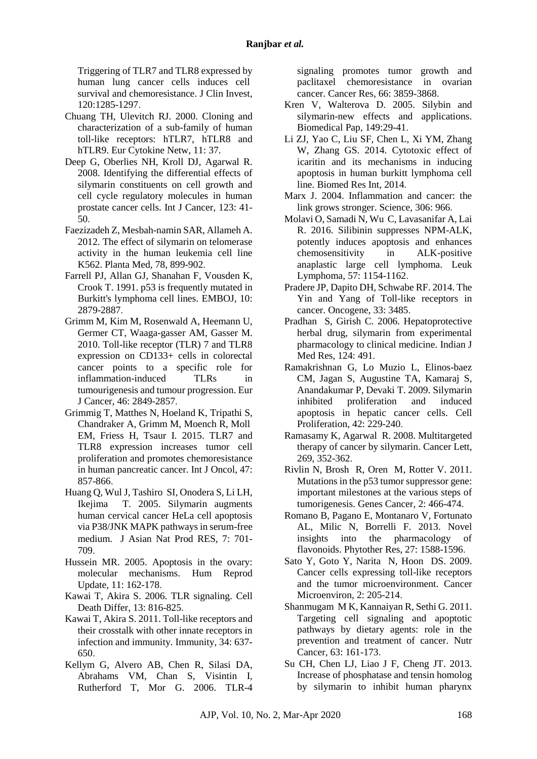Triggering of TLR7 and TLR8 expressed by human lung cancer cells induces cell survival and chemoresistance. [J Clin Invest,](https://www.ncbi.nlm.nih.gov/pubmed/?term=Triggering+of+TLR7+and+TLR8+expressed+by+human+lung+cancer+cells+induces+cell+survival+and+chemoresistance) 120:1285-1297.

- <span id="page-7-15"></span>Chuang TH, Ulevitch RJ. 2000. Cloning and characterization of a sub-family of human toll-like receptors: hTLR7, hTLR8 and hTLR9. [Eur Cytokine Netw](https://www.ncbi.nlm.nih.gov/pubmed/?term=Cloning+and+characterization+of+a+sub-family+of+human+toll-like+receptors%3A+hTLR7%2C+hTLR8+and+hTLR9)*,* 11: 37.
- <span id="page-7-9"></span>Deep G, Oberlies NH, Kroll DJ, Agarwal R. 2008. Identifying the differential effects of silymarin constituents on cell growth and cell cycle regulatory molecules in human prostate cancer cells. Int J Cancer*,* 123: 41- 50.
- <span id="page-7-20"></span>Faezizadeh Z, Mesbah-namin SAR, Allameh A. 2012. The effect of silymarin on telomerase activity in the human leukemia cell line K562. Planta Med*,* 78, 899-902.
- <span id="page-7-18"></span>Farrell PJ, Allan GJ, Shanahan F, Vousden K, Crook T. 1991. p53 is frequently mutated in Burkitt's lymphoma cell lines. EMBOJ*,* 10: 2879-2887.
- <span id="page-7-2"></span>Grimm M, Kim M, Rosenwald A, Heemann U, Germer CT, Waaga-gasser AM, Gasser M. 2010. Toll-like receptor (TLR) 7 and TLR8 expression on CD133+ cells in colorectal cancer points to a specific role for inflammation-induced TLRs in tumourigenesis and tumour progression. Eur J Cancer*,* 46: 2849-2857.
- <span id="page-7-5"></span>Grimmig T, Matthes N, Hoeland K, Tripathi S, Chandraker A, Grimm M, Moench R, Moll EM, Friess H, Tsaur I. 2015. TLR7 and TLR8 expression increases tumor cell proliferation and promotes chemoresistance in human pancreatic cancer. Int J Oncol, 47: 857-866.
- <span id="page-7-10"></span>Huang Q, Wul J, Tashiro SI, Onodera S, Li LH, Ikejima T. 2005. Silymarin augments human cervical cancer HeLa cell apoptosis via P38/JNK MAPK pathways in serum-free medium. J Asian Nat Prod RES*,* 7: 701- 709.
- <span id="page-7-21"></span>Hussein MR. 2005. Apoptosis in the ovary: molecular mechanisms. Hum Reprod Update*,* 11: 162-178.
- <span id="page-7-3"></span>Kawai T, Akira S. 2006. TLR signaling. [Cell](https://www.ncbi.nlm.nih.gov/pubmed/?term=Increasing+Ca2%2B+in+photoreceptor+mitochondria+alters+metabolites%2C+accelerates+photoresponse+recovery%2C+and+reveals+adaptations+to+mitochondrial+stress)  [Death Differ](https://www.ncbi.nlm.nih.gov/pubmed/?term=Increasing+Ca2%2B+in+photoreceptor+mitochondria+alters+metabolites%2C+accelerates+photoresponse+recovery%2C+and+reveals+adaptations+to+mitochondrial+stress)*,* 13: 816-825.
- <span id="page-7-1"></span>Kawai T, Akira S. 2011. Toll-like receptors and their crosstalk with other innate receptors in infection and immunity. Immunity*,* 34: 637- 650.
- <span id="page-7-14"></span>Kellym G, Alvero AB, Chen R, Silasi DA, Abrahams VM, Chan S, Visintin I, Rutherford T, Mor G. 2006. TLR-4

signaling promotes tumor growth and paclitaxel chemoresistance in ovarian cancer. Cancer Res*,* 66: 3859-3868.

- <span id="page-7-6"></span>Kren V, Walterova D. 2005. Silybin and silymarin-new effects and applications. Biomedical Pap*,* 149:29-41.
- <span id="page-7-22"></span>Li ZJ, Yao C, Liu SF, Chen L, Xi YM, Zhang W, Zhang GS. 2014. Cytotoxic effect of icaritin and its mechanisms in inducing apoptosis in human burkitt lymphoma cell line. [Biomed Res Int](https://www.ncbi.nlm.nih.gov/pubmed/31080813)*,* 2014.
- <span id="page-7-13"></span>Marx J. 2004. Inflammation and cancer: the link grows stronger. Science*,* 306: 966.
- <span id="page-7-19"></span>Molavi O, Samadi N, Wu C, Lavasanifar A, Lai R. 2016. Silibinin suppresses NPM-ALK, potently induces apoptosis and enhances chemosensitivity in ALK-positive anaplastic large cell lymphoma. Leuk Lymphoma*,* 57: 1154-1162.
- <span id="page-7-16"></span>Pradere JP, Dapito DH, Schwabe RF. 2014. The Yin and Yang of Toll-like receptors in cancer. Oncogene*,* 33: 3485.
- <span id="page-7-7"></span>Pradhan S, Girish C. 2006. Hepatoprotective herbal drug, silymarin from experimental pharmacology to clinical medicine. Indian J Med Res*,* 124: 491.
- <span id="page-7-8"></span>Ramakrishnan G, Lo Muzio L, Elinos-baez CM, Jagan S, Augustine TA, Kamaraj S, Anandakumar P, Devaki T. 2009. Silymarin inhibited proliferation and induced apoptosis in hepatic cancer cells. Cell Proliferation, 42: 229-240.
- <span id="page-7-0"></span>Ramasamy K, Agarwal R. 2008. Multitargeted therapy of cancer by silymarin. Cancer Lett*,* 269, 352-362.
- <span id="page-7-17"></span>Rivlin N, Brosh R, Oren M, Rotter V. 2011. Mutations in the p53 tumor suppressor gene: important milestones at the various steps of tumorigenesis. Genes Cancer*,* 2: 466-474.
- <span id="page-7-12"></span>Romano B, Pagano E, Montanaro V, Fortunato AL, Milic N, Borrelli F. 2013. Novel insights into the pharmacology of flavonoids. Phytother Res, 27: 1588-1596.
- <span id="page-7-4"></span>Sato Y, Goto Y, Narita N, Hoon DS. 2009. Cancer cells expressing toll-like receptors and the tumor microenvironment. Cancer Microenviron*,* 2: 205-214.
- <span id="page-7-23"></span>Shanmugam M K, Kannaiyan R, Sethi G. 2011. Targeting cell signaling and apoptotic pathways by dietary agents: role in the prevention and treatment of cancer. Nutr Cancer*,* 63: 161-173.
- <span id="page-7-11"></span>Su CH, Chen LJ, Liao J F, Cheng JT. 2013. Increase of phosphatase and tensin homolog by silymarin to inhibit human pharynx